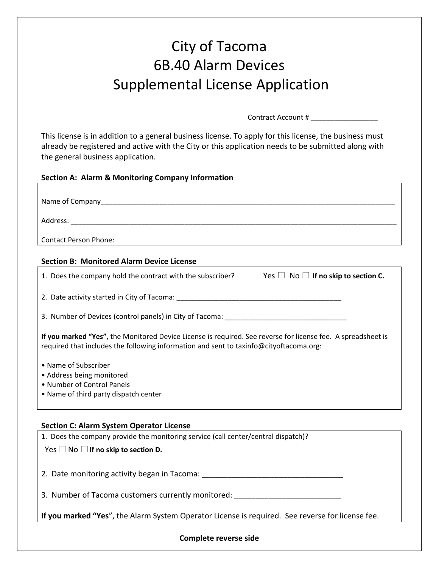## City of Tacoma 6B.40 Alarm Devices Supplemental License Application

Contract Account # \_\_\_\_\_\_\_\_\_\_\_\_\_\_\_\_\_

This license is in addition to a general business license. To apply for this license, the business must already be registered and active with the City or this application needs to be submitted along with the general business application.

| <b>Section A: Alarm &amp; Monitoring Company Information</b>                                                                                                                                           |
|--------------------------------------------------------------------------------------------------------------------------------------------------------------------------------------------------------|
|                                                                                                                                                                                                        |
|                                                                                                                                                                                                        |
|                                                                                                                                                                                                        |
|                                                                                                                                                                                                        |
|                                                                                                                                                                                                        |
| <b>Contact Person Phone:</b>                                                                                                                                                                           |
| <b>Section B: Monitored Alarm Device License</b>                                                                                                                                                       |
| Yes $\Box$ No $\Box$ If no skip to section C.<br>1. Does the company hold the contract with the subscriber?                                                                                            |
|                                                                                                                                                                                                        |
| 3. Number of Devices (control panels) in City of Tacoma: ________________________                                                                                                                      |
| If you marked "Yes", the Monitored Device License is required. See reverse for license fee. A spreadsheet is<br>required that includes the following information and sent to taxinfo@cityoftacoma.org: |
| • Name of Subscriber                                                                                                                                                                                   |
| • Address being monitored                                                                                                                                                                              |
| • Number of Control Panels                                                                                                                                                                             |
| • Name of third party dispatch center                                                                                                                                                                  |
|                                                                                                                                                                                                        |
| <b>Section C: Alarm System Operator License</b>                                                                                                                                                        |
| 1. Does the company provide the monitoring service (call center/central dispatch)?                                                                                                                     |
| Yes $\Box$ No $\Box$ If no skip to section D.                                                                                                                                                          |
|                                                                                                                                                                                                        |
| 2. Date monitoring activity began in Tacoma: ___________________________________                                                                                                                       |
| 3. Number of Tacoma customers currently monitored:                                                                                                                                                     |
| If you marked "Yes", the Alarm System Operator License is required. See reverse for license fee.                                                                                                       |

**Complete reverse side**